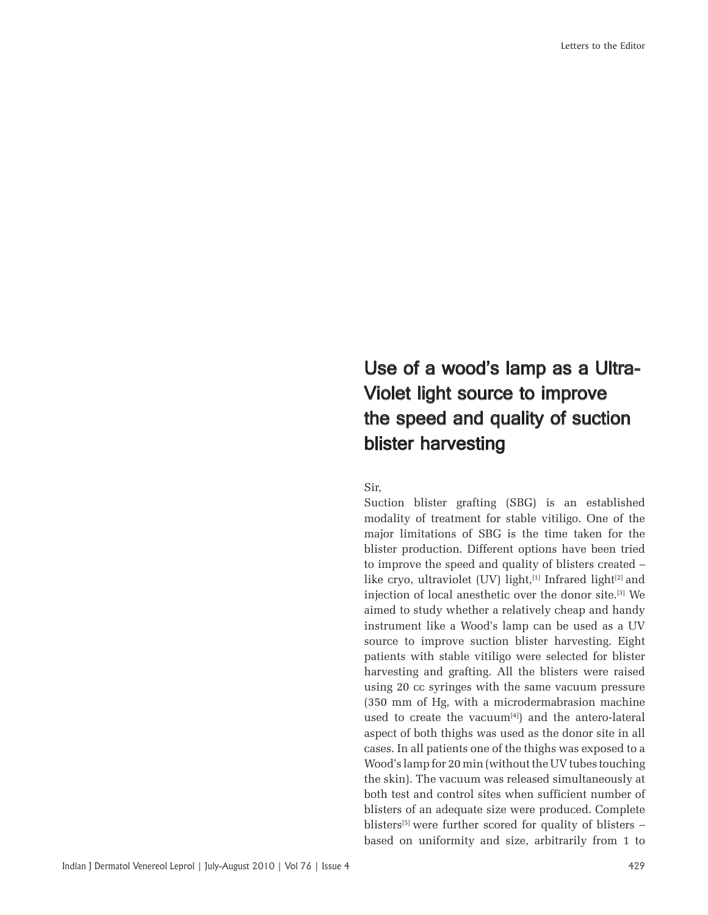## Use of a wood's lamp as a Ultra-Violet light source to improve the speed and quality of suction blister harvesting

Sir,

Suction blister grafting (SBG) is an established modality of treatment for stable vitiligo. One of the major limitations of SBG is the time taken for the blister production. Different options have been tried to improve the speed and quality of blisters created – like cryo, ultraviolet  $(UV)$  light,<sup>[1]</sup> Infrared light<sup>[2]</sup> and injection of local anesthetic over the donor site.[3] We aimed to study whether a relatively cheap and handy instrument like a Wood's lamp can be used as a UV source to improve suction blister harvesting. Eight patients with stable vitiligo were selected for blister harvesting and grafting. All the blisters were raised using 20 cc syringes with the same vacuum pressure (350 mm of Hg, with a microdermabrasion machine used to create the vacuum<sup>[4]</sup>) and the antero-lateral aspect of both thighs was used as the donor site in all cases. In all patients one of the thighs was exposed to a Wood's lamp for 20 min (without the UV tubes touching the skin). The vacuum was released simultaneously at both test and control sites when sufficient number of blisters of an adequate size were produced. Complete blisters<sup>[5]</sup> were further scored for quality of blisters  $$ based on uniformity and size, arbitrarily from 1 to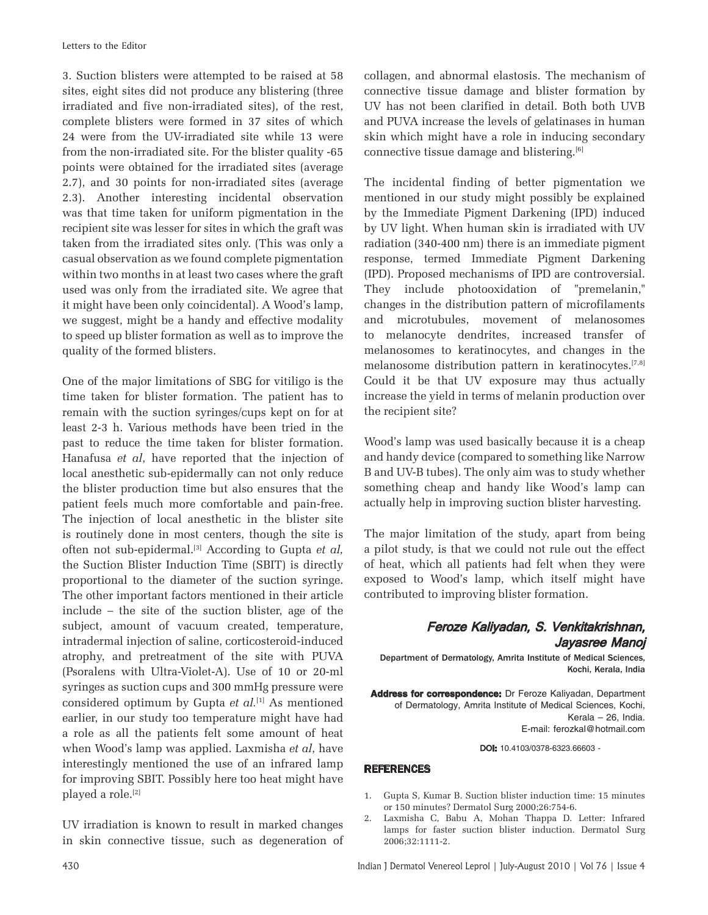3. Suction blisters were attempted to be raised at 58 sites, eight sites did not produce any blistering (three irradiated and five non-irradiated sites), of the rest, complete blisters were formed in 37 sites of which 24 were from the UV-irradiated site while 13 were from the non-irradiated site. For the blister quality -65 points were obtained for the irradiated sites (average 2.7), and 30 points for non-irradiated sites (average 2.3). Another interesting incidental observation was that time taken for uniform pigmentation in the recipient site was lesser for sites in which the graft was taken from the irradiated sites only. (This was only a casual observation as we found complete pigmentation within two months in at least two cases where the graft used was only from the irradiated site. We agree that it might have been only coincidental). A Wood's lamp, we suggest, might be a handy and effective modality to speed up blister formation as well as to improve the quality of the formed blisters.

One of the major limitations of SBG for vitiligo is the time taken for blister formation. The patient has to remain with the suction syringes/cups kept on for at least 2-3 h. Various methods have been tried in the past to reduce the time taken for blister formation. Hanafusa *et al*, have reported that the injection of local anesthetic sub-epidermally can not only reduce the blister production time but also ensures that the patient feels much more comfortable and pain-free. The injection of local anesthetic in the blister site is routinely done in most centers, though the site is often not sub-epidermal.[3] According to Gupta *et al,* the Suction Blister Induction Time (SBIT) is directly proportional to the diameter of the suction syringe. The other important factors mentioned in their article include – the site of the suction blister, age of the subject, amount of vacuum created, temperature, intradermal injection of saline, corticosteroid-induced atrophy, and pretreatment of the site with PUVA (Psoralens with Ultra-Violet-A). Use of 10 or 20-ml syringes as suction cups and 300 mmHg pressure were considered optimum by Gupta *et al.*[1] As mentioned earlier, in our study too temperature might have had a role as all the patients felt some amount of heat when Wood's lamp was applied. Laxmisha *et al*, have interestingly mentioned the use of an infrared lamp for improving SBIT. Possibly here too heat might have played a role.[2]

UV irradiation is known to result in marked changes in skin connective tissue, such as degeneration of collagen, and abnormal elastosis. The mechanism of connective tissue damage and blister formation by UV has not been clarified in detail. Both both UVB and PUVA increase the levels of gelatinases in human skin which might have a role in inducing secondary connective tissue damage and blistering.[6]

The incidental finding of better pigmentation we mentioned in our study might possibly be explained by the Immediate Pigment Darkening (IPD) induced by UV light. When human skin is irradiated with UV radiation (340-400 nm) there is an immediate pigment response, termed Immediate Pigment Darkening (IPD). Proposed mechanisms of IPD are controversial. They include photooxidation of "premelanin," changes in the distribution pattern of microfilaments and microtubules, movement of melanosomes to melanocyte dendrites, increased transfer of melanosomes to keratinocytes, and changes in the melanosome distribution pattern in keratinocytes.[7,8] Could it be that UV exposure may thus actually increase the yield in terms of melanin production over the recipient site?

Wood's lamp was used basically because it is a cheap and handy device (compared to something like Narrow B and UV-B tubes). The only aim was to study whether something cheap and handy like Wood's lamp can actually help in improving suction blister harvesting.

The major limitation of the study, apart from being a pilot study, is that we could not rule out the effect of heat, which all patients had felt when they were exposed to Wood's lamp, which itself might have contributed to improving blister formation.

## Feroze Kaliyadan, S. Venkitakrishnan, Jayasree Manoj

Department of Dermatology, Amrita Institute of Medical Sciences, Kochi, Kerala, India

**Address for correspondence:** Dr Feroze Kaliyadan, Department of Dermatology, Amrita Institute of Medical Sciences, Kochi, Kerala – 26, India. E-mail: ferozkal@hotmail.com

DOI: 10.4103/0378-6323.66603 -

## **REFERENCES**

- 1. Gupta S, Kumar B. Suction blister induction time: 15 minutes or 150 minutes? Dermatol Surg 2000;26:754-6.
- 2. Laxmisha C, Babu A, Mohan Thappa D. Letter: Infrared lamps for faster suction blister induction. Dermatol Surg 2006;32:1111-2.